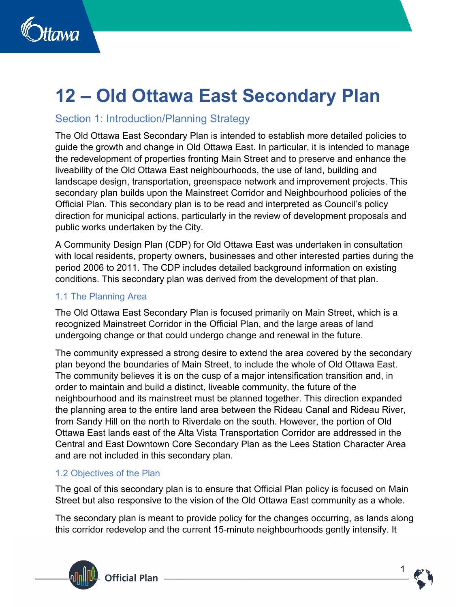

# **12 – Old Ottawa East Secondary Plan**

# Section 1: Introduction/Planning Strategy

The Old Ottawa East Secondary Plan is intended to establish more detailed policies to guide the growth and change in Old Ottawa East. In particular, it is intended to manage the redevelopment of properties fronting Main Street and to preserve and enhance the liveability of the Old Ottawa East neighbourhoods, the use of land, building and landscape design, transportation, greenspace network and improvement projects. This secondary plan builds upon the Mainstreet Corridor and Neighbourhood policies of the Official Plan. This secondary plan is to be read and interpreted as Council's policy direction for municipal actions, particularly in the review of development proposals and public works undertaken by the City.

A Community Design Plan (CDP) for Old Ottawa East was undertaken in consultation with local residents, property owners, businesses and other interested parties during the period 2006 to 2011. The CDP includes detailed background information on existing conditions. This secondary plan was derived from the development of that plan.

# 1.1 The Planning Area

The Old Ottawa East Secondary Plan is focused primarily on Main Street, which is a recognized Mainstreet Corridor in the Official Plan, and the large areas of land undergoing change or that could undergo change and renewal in the future.

The community expressed a strong desire to extend the area covered by the secondary plan beyond the boundaries of Main Street, to include the whole of Old Ottawa East. The community believes it is on the cusp of a major intensification transition and, in order to maintain and build a distinct, liveable community, the future of the neighbourhood and its mainstreet must be planned together. This direction expanded the planning area to the entire land area between the Rideau Canal and Rideau River, from Sandy Hill on the north to Riverdale on the south. However, the portion of Old Ottawa East lands east of the Alta Vista Transportation Corridor are addressed in the Central and East Downtown Core Secondary Plan as the Lees Station Character Area and are not included in this secondary plan.

# 1.2 Objectives of the Plan

The goal of this secondary plan is to ensure that Official Plan policy is focused on Main Street but also responsive to the vision of the Old Ottawa East community as a whole.

The secondary plan is meant to provide policy for the changes occurring, as lands along this corridor redevelop and the current 15-minute neighbourhoods gently intensify. It



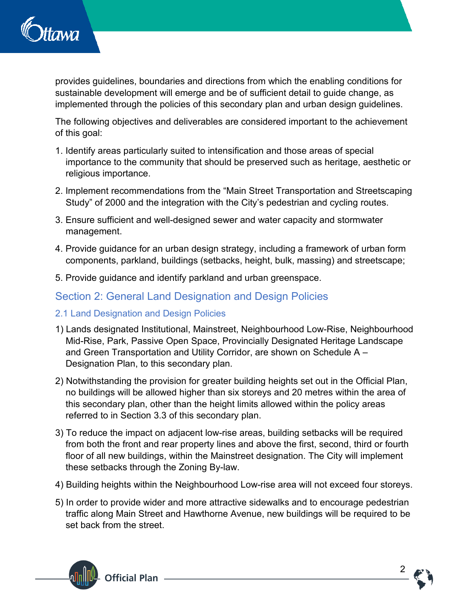

provides guidelines, boundaries and directions from which the enabling conditions for sustainable development will emerge and be of sufficient detail to guide change, as implemented through the policies of this secondary plan and urban design guidelines.

The following objectives and deliverables are considered important to the achievement of this goal:

- 1. Identify areas particularly suited to intensification and those areas of special importance to the community that should be preserved such as heritage, aesthetic or religious importance.
- 2. Implement recommendations from the "Main Street Transportation and Streetscaping Study" of 2000 and the integration with the City's pedestrian and cycling routes.
- 3. Ensure sufficient and well-designed sewer and water capacity and stormwater management.
- 4. Provide guidance for an urban design strategy, including a framework of urban form components, parkland, buildings (setbacks, height, bulk, massing) and streetscape;
- 5. Provide guidance and identify parkland and urban greenspace.

# Section 2: General Land Designation and Design Policies

- 2.1 Land Designation and Design Policies
- 1) Lands designated Institutional, Mainstreet, Neighbourhood Low-Rise, Neighbourhood Mid-Rise, Park, Passive Open Space, Provincially Designated Heritage Landscape and Green Transportation and Utility Corridor, are shown on Schedule A – Designation Plan, to this secondary plan.
- 2) Notwithstanding the provision for greater building heights set out in the Official Plan, no buildings will be allowed higher than six storeys and 20 metres within the area of this secondary plan, other than the height limits allowed within the policy areas referred to in Section 3.3 of this secondary plan.
- 3) To reduce the impact on adjacent low-rise areas, building setbacks will be required from both the front and rear property lines and above the first, second, third or fourth floor of all new buildings, within the Mainstreet designation. The City will implement these setbacks through the Zoning By-law.
- 4) Building heights within the Neighbourhood Low-rise area will not exceed four storeys.
- 5) In order to provide wider and more attractive sidewalks and to encourage pedestrian traffic along Main Street and Hawthorne Avenue, new buildings will be required to be set back from the street.



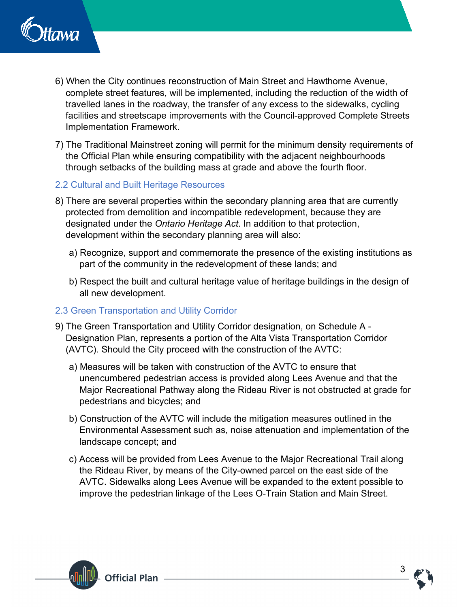

- 6) When the City continues reconstruction of Main Street and Hawthorne Avenue, complete street features, will be implemented, including the reduction of the width of travelled lanes in the roadway, the transfer of any excess to the sidewalks, cycling facilities and streetscape improvements with the Council-approved Complete Streets Implementation Framework.
- 7) The Traditional Mainstreet zoning will permit for the minimum density requirements of the Official Plan while ensuring compatibility with the adjacent neighbourhoods through setbacks of the building mass at grade and above the fourth floor.
- 2.2 Cultural and Built Heritage Resources
- 8) There are several properties within the secondary planning area that are currently protected from demolition and incompatible redevelopment, because they are designated under the *Ontario Heritage Act*. In addition to that protection, development within the secondary planning area will also:
	- a) Recognize, support and commemorate the presence of the existing institutions as part of the community in the redevelopment of these lands; and
	- b) Respect the built and cultural heritage value of heritage buildings in the design of all new development.

# 2.3 Green Transportation and Utility Corridor

- 9) The Green Transportation and Utility Corridor designation, on Schedule A Designation Plan, represents a portion of the Alta Vista Transportation Corridor (AVTC). Should the City proceed with the construction of the AVTC:
	- a) Measures will be taken with construction of the AVTC to ensure that unencumbered pedestrian access is provided along Lees Avenue and that the Major Recreational Pathway along the Rideau River is not obstructed at grade for pedestrians and bicycles; and
	- b) Construction of the AVTC will include the mitigation measures outlined in the Environmental Assessment such as, noise attenuation and implementation of the landscape concept; and
	- c) Access will be provided from Lees Avenue to the Major Recreational Trail along the Rideau River, by means of the City-owned parcel on the east side of the AVTC. Sidewalks along Lees Avenue will be expanded to the extent possible to improve the pedestrian linkage of the Lees O-Train Station and Main Street.



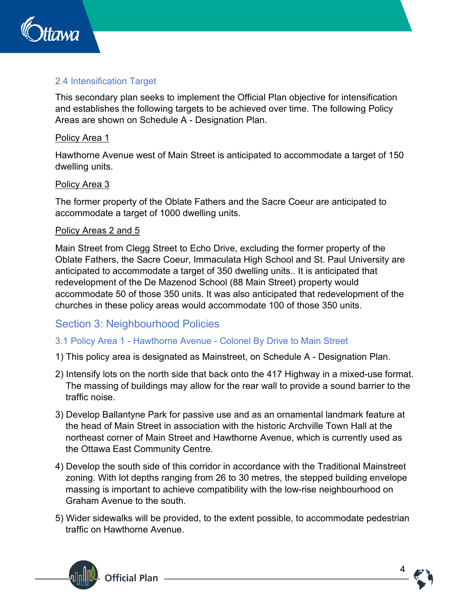

# 2.4 Intensification Target

This secondary plan seeks to implement the Official Plan objective for intensification and establishes the following targets to be achieved over time. The following Policy Areas are shown on Schedule A - Designation Plan.

#### Policy Area 1

Hawthorne Avenue west of Main Street is anticipated to accommodate a target of 150 dwelling units.

#### Policy Area 3

The former property of the Oblate Fathers and the Sacre Coeur are anticipated to accommodate a target of 1000 dwelling units.

#### Policy Areas 2 and 5

Main Street from Clegg Street to Echo Drive, excluding the former property of the Oblate Fathers, the Sacre Coeur, Immaculata High School and St. Paul University are anticipated to accommodate a target of 350 dwelling units.. It is anticipated that redevelopment of the De Mazenod School (88 Main Street) property would accommodate 50 of those 350 units. It was also anticipated that redevelopment of the churches in these policy areas would accommodate 100 of those 350 units.

# Section 3: Neighbourhood Policies

#### 3.1 Policy Area 1 - Hawthorne Avenue - Colonel By Drive to Main Street

- 1) This policy area is designated as Mainstreet, on Schedule A Designation Plan.
- 2) Intensify lots on the north side that back onto the 417 Highway in a mixed-use format. The massing of buildings may allow for the rear wall to provide a sound barrier to the traffic noise.
- 3) Develop Ballantyne Park for passive use and as an ornamental landmark feature at the head of Main Street in association with the historic Archville Town Hall at the northeast corner of Main Street and Hawthorne Avenue, which is currently used as the Ottawa East Community Centre.
- 4) Develop the south side of this corridor in accordance with the Traditional Mainstreet zoning. With lot depths ranging from 26 to 30 metres, the stepped building envelope massing is important to achieve compatibility with the low-rise neighbourhood on Graham Avenue to the south.
- 5) Wider sidewalks will be provided, to the extent possible, to accommodate pedestrian traffic on Hawthorne Avenue.



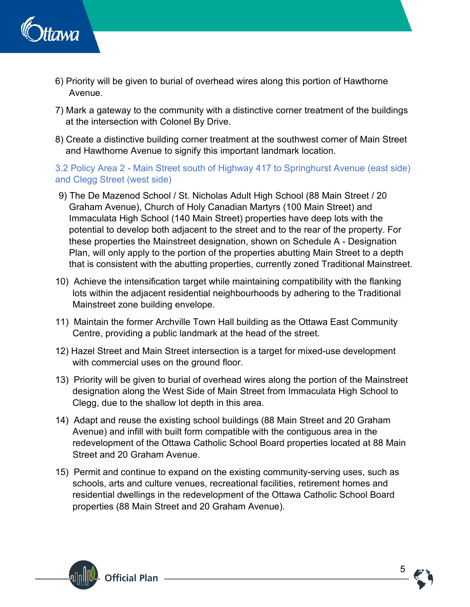

- 6) Priority will be given to burial of overhead wires along this portion of Hawthorne Avenue.
- 7) Mark a gateway to the community with a distinctive corner treatment of the buildings at the intersection with Colonel By Drive.
- 8) Create a distinctive building corner treatment at the southwest corner of Main Street and Hawthorne Avenue to signify this important landmark location.

3.2 Policy Area 2 - Main Street south of Highway 417 to Springhurst Avenue (east side) and Clegg Street (west side)

- 9) The De Mazenod School / St. Nicholas Adult High School (88 Main Street / 20 Graham Avenue), Church of Holy Canadian Martyrs (100 Main Street) and Immaculata High School (140 Main Street) properties have deep lots with the potential to develop both adjacent to the street and to the rear of the property. For these properties the Mainstreet designation, shown on Schedule A - Designation Plan, will only apply to the portion of the properties abutting Main Street to a depth that is consistent with the abutting properties, currently zoned Traditional Mainstreet.
- 10) Achieve the intensification target while maintaining compatibility with the flanking lots within the adjacent residential neighbourhoods by adhering to the Traditional Mainstreet zone building envelope.
- 11) Maintain the former Archville Town Hall building as the Ottawa East Community Centre, providing a public landmark at the head of the street.
- 12) Hazel Street and Main Street intersection is a target for mixed-use development with commercial uses on the ground floor.
- 13) Priority will be given to burial of overhead wires along the portion of the Mainstreet designation along the West Side of Main Street from Immaculata High School to Clegg, due to the shallow lot depth in this area.
- 14) Adapt and reuse the existing school buildings (88 Main Street and 20 Graham Avenue) and infill with built form compatible with the contiguous area in the redevelopment of the Ottawa Catholic School Board properties located at 88 Main Street and 20 Graham Avenue.
- 15) Permit and continue to expand on the existing community-serving uses, such as schools, arts and culture venues, recreational facilities, retirement homes and residential dwellings in the redevelopment of the Ottawa Catholic School Board properties (88 Main Street and 20 Graham Avenue).



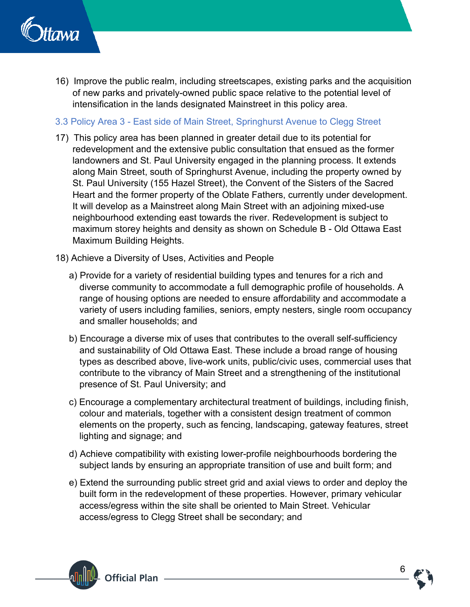

16) Improve the public realm, including streetscapes, existing parks and the acquisition of new parks and privately-owned public space relative to the potential level of intensification in the lands designated Mainstreet in this policy area.

#### 3.3 Policy Area 3 - East side of Main Street, Springhurst Avenue to Clegg Street

- 17) This policy area has been planned in greater detail due to its potential for redevelopment and the extensive public consultation that ensued as the former landowners and St. Paul University engaged in the planning process. It extends along Main Street, south of Springhurst Avenue, including the property owned by St. Paul University (155 Hazel Street), the Convent of the Sisters of the Sacred Heart and the former property of the Oblate Fathers, currently under development. It will develop as a Mainstreet along Main Street with an adjoining mixed-use neighbourhood extending east towards the river. Redevelopment is subject to maximum storey heights and density as shown on Schedule B - Old Ottawa East Maximum Building Heights.
- 18) Achieve a Diversity of Uses, Activities and People
	- a) Provide for a variety of residential building types and tenures for a rich and diverse community to accommodate a full demographic profile of households. A range of housing options are needed to ensure affordability and accommodate a variety of users including families, seniors, empty nesters, single room occupancy and smaller households; and
	- b) Encourage a diverse mix of uses that contributes to the overall self-sufficiency and sustainability of Old Ottawa East. These include a broad range of housing types as described above, live-work units, public/civic uses, commercial uses that contribute to the vibrancy of Main Street and a strengthening of the institutional presence of St. Paul University; and
	- c) Encourage a complementary architectural treatment of buildings, including finish, colour and materials, together with a consistent design treatment of common elements on the property, such as fencing, landscaping, gateway features, street lighting and signage; and
	- d) Achieve compatibility with existing lower-profile neighbourhoods bordering the subject lands by ensuring an appropriate transition of use and built form; and
	- e) Extend the surrounding public street grid and axial views to order and deploy the built form in the redevelopment of these properties. However, primary vehicular access/egress within the site shall be oriented to Main Street. Vehicular access/egress to Clegg Street shall be secondary; and



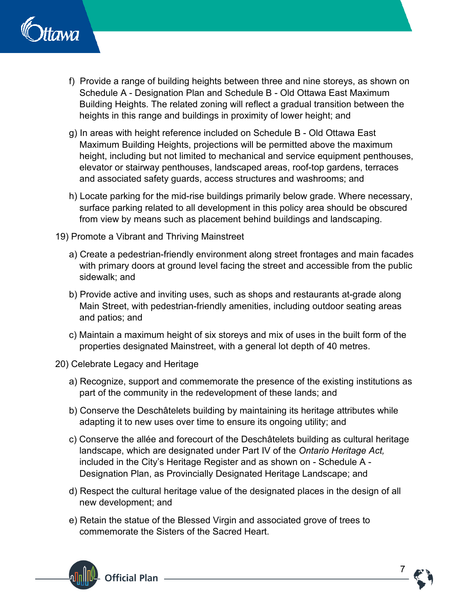

- f) Provide a range of building heights between three and nine storeys, as shown on Schedule A - Designation Plan and Schedule B - Old Ottawa East Maximum Building Heights. The related zoning will reflect a gradual transition between the heights in this range and buildings in proximity of lower height; and
- g) In areas with height reference included on Schedule B Old Ottawa East Maximum Building Heights, projections will be permitted above the maximum height, including but not limited to mechanical and service equipment penthouses, elevator or stairway penthouses, landscaped areas, roof-top gardens, terraces and associated safety guards, access structures and washrooms; and
- h) Locate parking for the mid-rise buildings primarily below grade. Where necessary, surface parking related to all development in this policy area should be obscured from view by means such as placement behind buildings and landscaping.
- 19) Promote a Vibrant and Thriving Mainstreet
	- a) Create a pedestrian-friendly environment along street frontages and main facades with primary doors at ground level facing the street and accessible from the public sidewalk; and
	- b) Provide active and inviting uses, such as shops and restaurants at-grade along Main Street, with pedestrian-friendly amenities, including outdoor seating areas and patios; and
	- c) Maintain a maximum height of six storeys and mix of uses in the built form of the properties designated Mainstreet, with a general lot depth of 40 metres.
- 20) Celebrate Legacy and Heritage
	- a) Recognize, support and commemorate the presence of the existing institutions as part of the community in the redevelopment of these lands; and
	- b) Conserve the Deschâtelets building by maintaining its heritage attributes while adapting it to new uses over time to ensure its ongoing utility; and
	- c) Conserve the allée and forecourt of the Deschâtelets building as cultural heritage landscape, which are designated under Part IV of the *Ontario Heritage Act,*  included in the City's Heritage Register and as shown on - Schedule A - Designation Plan, as Provincially Designated Heritage Landscape; and
	- d) Respect the cultural heritage value of the designated places in the design of all new development; and
	- e) Retain the statue of the Blessed Virgin and associated grove of trees to commemorate the Sisters of the Sacred Heart.



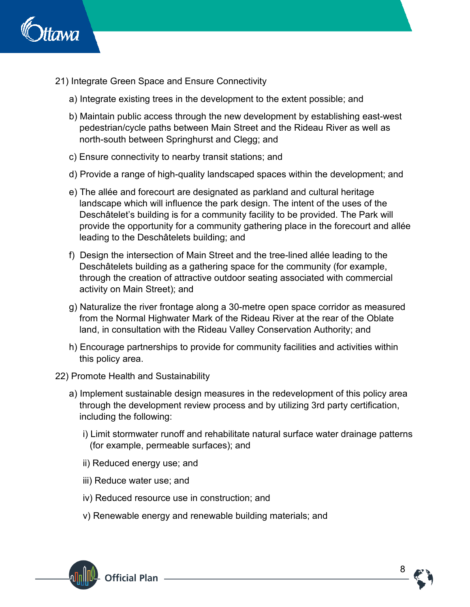

- 21) Integrate Green Space and Ensure Connectivity
	- a) Integrate existing trees in the development to the extent possible; and
	- b) Maintain public access through the new development by establishing east-west pedestrian/cycle paths between Main Street and the Rideau River as well as north-south between Springhurst and Clegg; and
	- c) Ensure connectivity to nearby transit stations; and
	- d) Provide a range of high-quality landscaped spaces within the development; and
	- e) The allée and forecourt are designated as parkland and cultural heritage landscape which will influence the park design. The intent of the uses of the Deschâtelet's building is for a community facility to be provided. The Park will provide the opportunity for a community gathering place in the forecourt and allée leading to the Deschâtelets building; and
	- f) Design the intersection of Main Street and the tree-lined allée leading to the Deschâtelets building as a gathering space for the community (for example, through the creation of attractive outdoor seating associated with commercial activity on Main Street); and
	- g) Naturalize the river frontage along a 30-metre open space corridor as measured from the Normal Highwater Mark of the Rideau River at the rear of the Oblate land, in consultation with the Rideau Valley Conservation Authority; and
	- h) Encourage partnerships to provide for community facilities and activities within this policy area.
- 22) Promote Health and Sustainability
	- a) Implement sustainable design measures in the redevelopment of this policy area through the development review process and by utilizing 3rd party certification, including the following:
		- i) Limit stormwater runoff and rehabilitate natural surface water drainage patterns (for example, permeable surfaces); and
		- ii) Reduced energy use; and
		- iii) Reduce water use; and
		- iv) Reduced resource use in construction; and
		- v) Renewable energy and renewable building materials; and



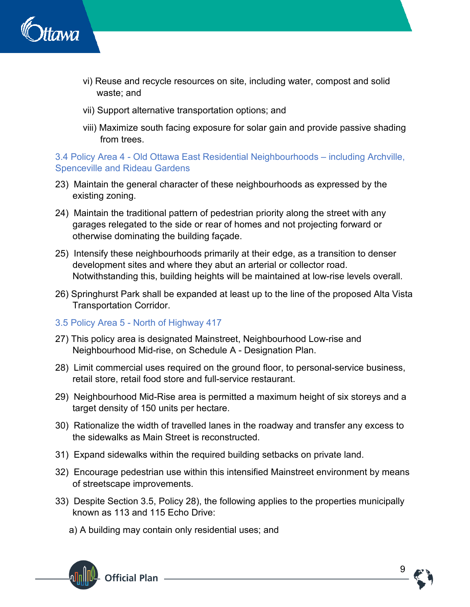

- vi) Reuse and recycle resources on site, including water, compost and solid waste; and
- vii) Support alternative transportation options; and
- viii) Maximize south facing exposure for solar gain and provide passive shading from trees.

3.4 Policy Area 4 - Old Ottawa East Residential Neighbourhoods – including Archville, Spenceville and Rideau Gardens

- 23) Maintain the general character of these neighbourhoods as expressed by the existing zoning.
- 24) Maintain the traditional pattern of pedestrian priority along the street with any garages relegated to the side or rear of homes and not projecting forward or otherwise dominating the building façade.
- 25) Intensify these neighbourhoods primarily at their edge, as a transition to denser development sites and where they abut an arterial or collector road. Notwithstanding this, building heights will be maintained at low-rise levels overall.
- 26) Springhurst Park shall be expanded at least up to the line of the proposed Alta Vista Transportation Corridor.
- 3.5 Policy Area 5 North of Highway 417
- 27) This policy area is designated Mainstreet, Neighbourhood Low-rise and Neighbourhood Mid-rise, on Schedule A - Designation Plan.
- 28) Limit commercial uses required on the ground floor, to personal-service business, retail store, retail food store and full-service restaurant.
- 29) Neighbourhood Mid-Rise area is permitted a maximum height of six storeys and a target density of 150 units per hectare.
- 30) Rationalize the width of travelled lanes in the roadway and transfer any excess to the sidewalks as Main Street is reconstructed.
- 31) Expand sidewalks within the required building setbacks on private land.
- 32) Encourage pedestrian use within this intensified Mainstreet environment by means of streetscape improvements.
- 33) Despite Section 3.5, Policy 28), the following applies to the properties municipally known as 113 and 115 Echo Drive:
	- a) A building may contain only residential uses; and



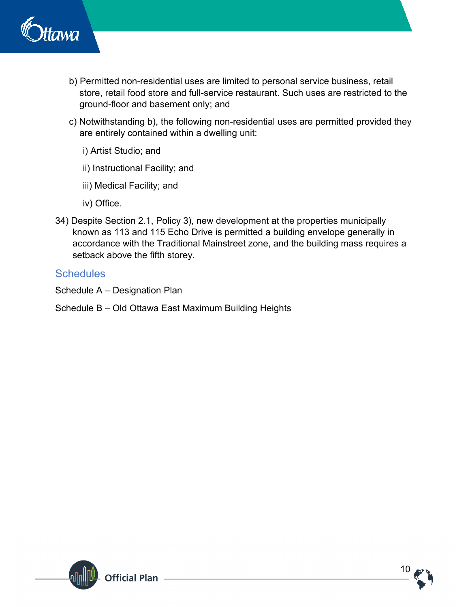

- b) Permitted non-residential uses are limited to personal service business, retail store, retail food store and full-service restaurant. Such uses are restricted to the ground-floor and basement only; and
- c) Notwithstanding b), the following non-residential uses are permitted provided they are entirely contained within a dwelling unit:
	- i) Artist Studio; and
	- ii) Instructional Facility; and
	- iii) Medical Facility; and
	- iv) Office.
- 34) Despite Section 2.1, Policy 3), new development at the properties municipally known as 113 and 115 Echo Drive is permitted a building envelope generally in accordance with the Traditional Mainstreet zone, and the building mass requires a setback above the fifth storey.

# **Schedules**

Schedule A – Designation Plan

Schedule B – Old Ottawa East Maximum Building Heights



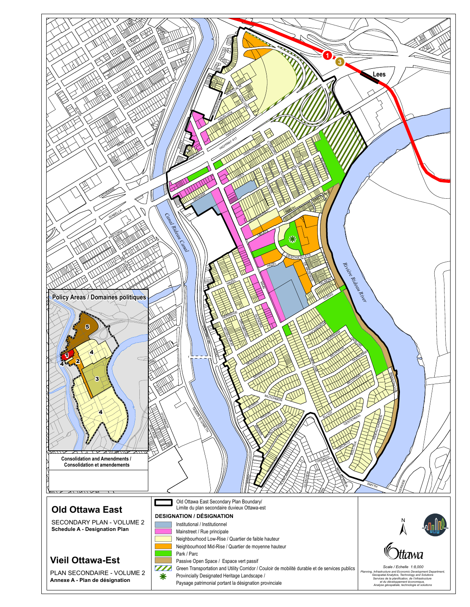